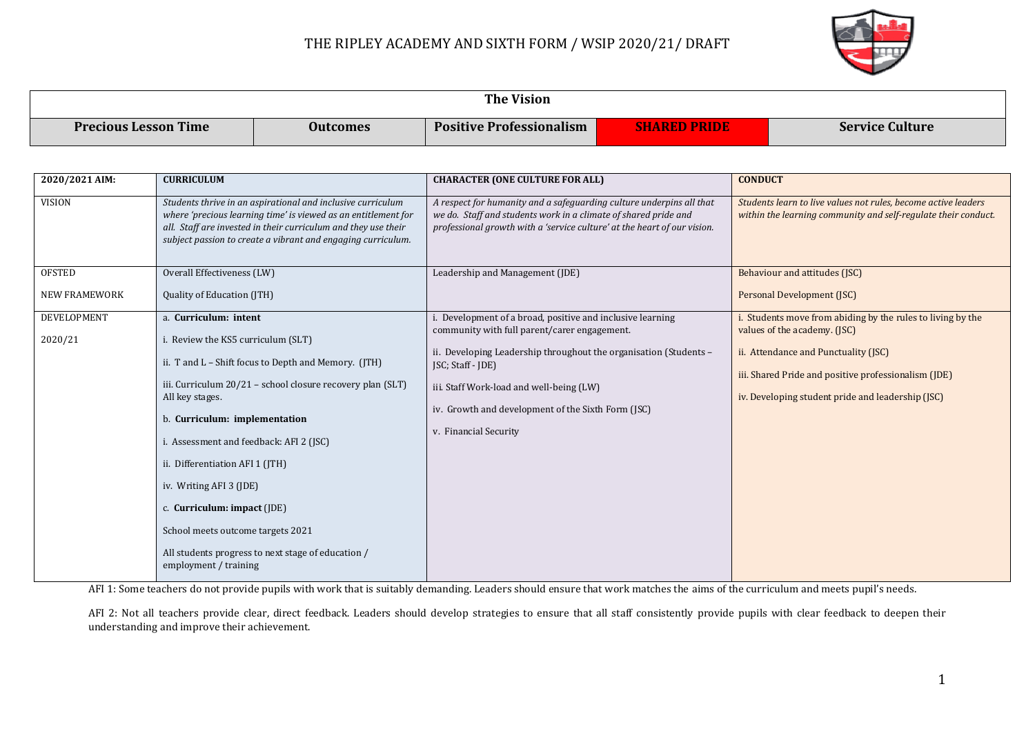

| The Vision                  |                 |                                 |              |                        |  |
|-----------------------------|-----------------|---------------------------------|--------------|------------------------|--|
| <b>Precious Lesson Time</b> | <b>Outcomes</b> | <b>Positive Professionalism</b> | SHARED PRIDE | <b>Service Culture</b> |  |

| 2020/2021 AIM:         | <b>CURRICULUM</b>                                                                                                                                                                                                                                                                                                                                                                                                      | <b>CHARACTER (ONE CULTURE FOR ALL)</b>                                                                                                                                                                                                                                                                                            | <b>CONDUCT</b>                                                                                                                                                                                                                                |
|------------------------|------------------------------------------------------------------------------------------------------------------------------------------------------------------------------------------------------------------------------------------------------------------------------------------------------------------------------------------------------------------------------------------------------------------------|-----------------------------------------------------------------------------------------------------------------------------------------------------------------------------------------------------------------------------------------------------------------------------------------------------------------------------------|-----------------------------------------------------------------------------------------------------------------------------------------------------------------------------------------------------------------------------------------------|
| <b>VISION</b>          | Students thrive in an aspirational and inclusive curriculum<br>where 'precious learning time' is viewed as an entitlement for<br>all. Staff are invested in their curriculum and they use their<br>subject passion to create a vibrant and engaging curriculum.                                                                                                                                                        | A respect for humanity and a safeguarding culture underpins all that<br>we do. Staff and students work in a climate of shared pride and<br>professional growth with a 'service culture' at the heart of our vision.                                                                                                               | Students learn to live values not rules, become active leaders<br>within the learning community and self-regulate their conduct.                                                                                                              |
| <b>OFSTED</b>          | Overall Effectiveness (LW)                                                                                                                                                                                                                                                                                                                                                                                             | Leadership and Management (JDE)                                                                                                                                                                                                                                                                                                   | Behaviour and attitudes (JSC)                                                                                                                                                                                                                 |
| <b>NEW FRAMEWORK</b>   | Quality of Education (JTH)                                                                                                                                                                                                                                                                                                                                                                                             |                                                                                                                                                                                                                                                                                                                                   | Personal Development (JSC)                                                                                                                                                                                                                    |
| DEVELOPMENT<br>2020/21 | a. Curriculum: intent<br>i. Review the KS5 curriculum (SLT)<br>ii. T and $L$ – Shift focus to Depth and Memory. (JTH)<br>iii. Curriculum 20/21 - school closure recovery plan (SLT)<br>All key stages.<br>b. Curriculum: implementation<br>i. Assessment and feedback: AFI 2 (JSC)<br>ii. Differentiation AFI 1 (JTH)<br>iv. Writing AFI 3 (JDE)<br>c. Curriculum: impact $(IDE)$<br>School meets outcome targets 2021 | . Development of a broad, positive and inclusive learning<br>community with full parent/carer engagement.<br>ii. Developing Leadership throughout the organisation (Students -<br>$[SC; Staff - [DE]]$<br>iii. Staff Work-load and well-being (LW)<br>iv. Growth and development of the Sixth Form (JSC)<br>v. Financial Security | Students move from abiding by the rules to living by the<br>values of the academy. (JSC)<br>ii. Attendance and Punctuality (JSC)<br>iii. Shared Pride and positive professionalism (JDE)<br>iv. Developing student pride and leadership (JSC) |
|                        | All students progress to next stage of education /<br>employment / training                                                                                                                                                                                                                                                                                                                                            |                                                                                                                                                                                                                                                                                                                                   |                                                                                                                                                                                                                                               |

AFI 1: Some teachers do not provide pupils with work that is suitably demanding. Leaders should ensure that work matches the aims of the curriculum and meets pupil's needs.

AFI 2: Not all teachers provide clear, direct feedback. Leaders should develop strategies to ensure that all staff consistently provide pupils with clear feedback to deepen their understanding and improve their achievement.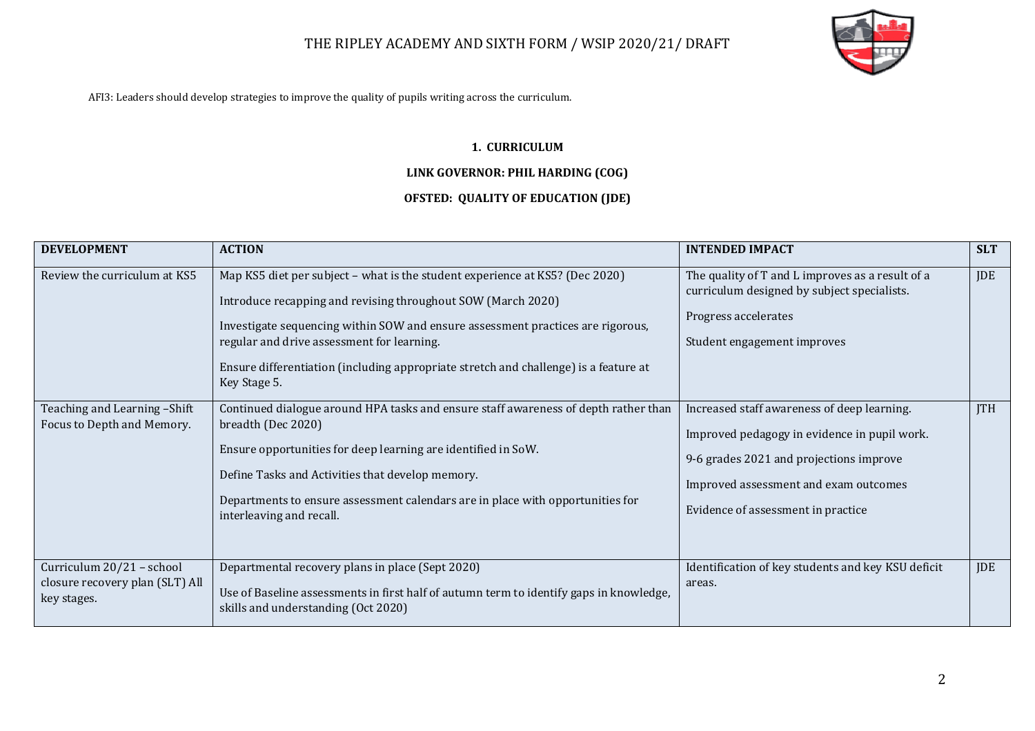

AFI3: Leaders should develop strategies to improve the quality of pupils writing across the curriculum.

#### **1. CURRICULUM**

#### **LINK GOVERNOR: PHIL HARDING (COG)**

### **OFSTED: QUALITY OF EDUCATION (JDE)**

| <b>DEVELOPMENT</b>                                                          | <b>ACTION</b>                                                                                                                                                                                                                                                                                                                                                                         | <b>INTENDED IMPACT</b>                                                                                                                                                                                                | <b>SLT</b> |
|-----------------------------------------------------------------------------|---------------------------------------------------------------------------------------------------------------------------------------------------------------------------------------------------------------------------------------------------------------------------------------------------------------------------------------------------------------------------------------|-----------------------------------------------------------------------------------------------------------------------------------------------------------------------------------------------------------------------|------------|
| Review the curriculum at KS5                                                | Map KS5 diet per subject - what is the student experience at KS5? (Dec 2020)<br>Introduce recapping and revising throughout SOW (March 2020)<br>Investigate sequencing within SOW and ensure assessment practices are rigorous,<br>regular and drive assessment for learning.<br>Ensure differentiation (including appropriate stretch and challenge) is a feature at<br>Key Stage 5. | The quality of T and L improves as a result of a<br>curriculum designed by subject specialists.<br>Progress accelerates<br>Student engagement improves                                                                | JDE        |
| Teaching and Learning -Shift<br>Focus to Depth and Memory.                  | Continued dialogue around HPA tasks and ensure staff awareness of depth rather than<br>breadth (Dec 2020)<br>Ensure opportunities for deep learning are identified in SoW.<br>Define Tasks and Activities that develop memory.<br>Departments to ensure assessment calendars are in place with opportunities for<br>interleaving and recall.                                          | Increased staff awareness of deep learning.<br>Improved pedagogy in evidence in pupil work.<br>9-6 grades 2021 and projections improve<br>Improved assessment and exam outcomes<br>Evidence of assessment in practice | <b>ITH</b> |
| Curriculum 20/21 - school<br>closure recovery plan (SLT) All<br>key stages. | Departmental recovery plans in place (Sept 2020)<br>Use of Baseline assessments in first half of autumn term to identify gaps in knowledge,<br>skills and understanding (Oct 2020)                                                                                                                                                                                                    | Identification of key students and key KSU deficit<br>areas.                                                                                                                                                          | <b>JDE</b> |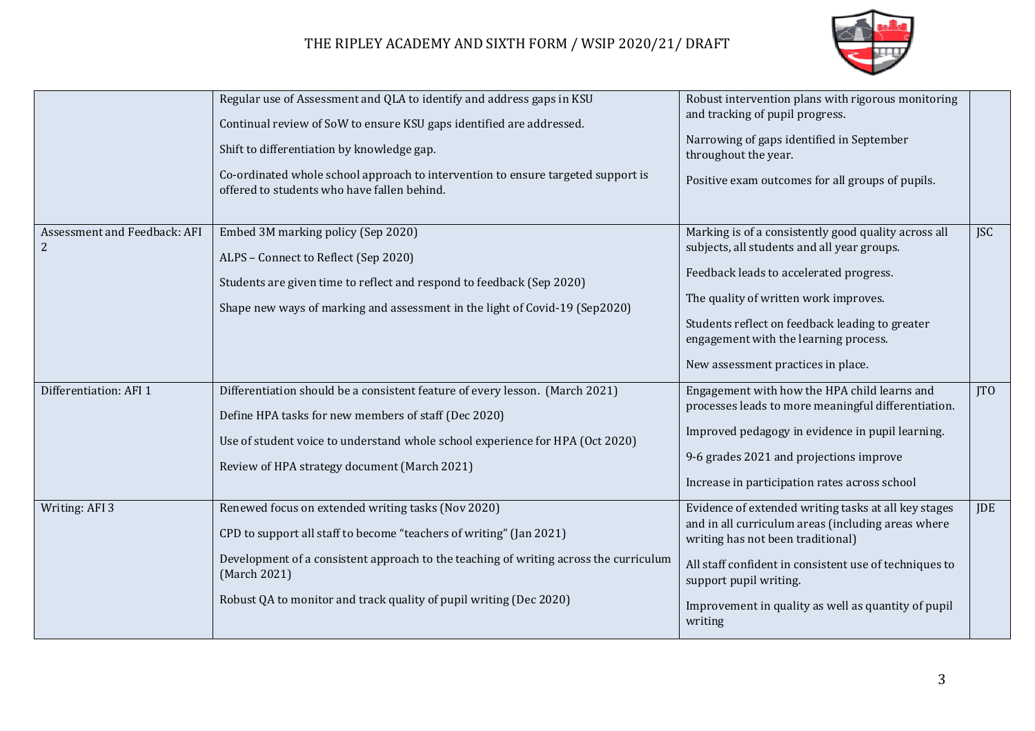

|                                                | Regular use of Assessment and QLA to identify and address gaps in KSU<br>Continual review of SoW to ensure KSU gaps identified are addressed.<br>Shift to differentiation by knowledge gap.<br>Co-ordinated whole school approach to intervention to ensure targeted support is<br>offered to students who have fallen behind. | Robust intervention plans with rigorous monitoring<br>and tracking of pupil progress.<br>Narrowing of gaps identified in September<br>throughout the year.<br>Positive exam outcomes for all groups of pupils.                                                                                                            |            |
|------------------------------------------------|--------------------------------------------------------------------------------------------------------------------------------------------------------------------------------------------------------------------------------------------------------------------------------------------------------------------------------|---------------------------------------------------------------------------------------------------------------------------------------------------------------------------------------------------------------------------------------------------------------------------------------------------------------------------|------------|
| Assessment and Feedback: AFI<br>$\overline{2}$ | Embed 3M marking policy (Sep 2020)<br>ALPS - Connect to Reflect (Sep 2020)<br>Students are given time to reflect and respond to feedback (Sep 2020)<br>Shape new ways of marking and assessment in the light of Covid-19 (Sep2020)                                                                                             | Marking is of a consistently good quality across all<br>subjects, all students and all year groups.<br>Feedback leads to accelerated progress.<br>The quality of written work improves.<br>Students reflect on feedback leading to greater<br>engagement with the learning process.<br>New assessment practices in place. | <b>JSC</b> |
| Differentiation: AFI 1                         | Differentiation should be a consistent feature of every lesson. (March 2021)<br>Define HPA tasks for new members of staff (Dec 2020)<br>Use of student voice to understand whole school experience for HPA (Oct 2020)<br>Review of HPA strategy document (March 2021)                                                          | Engagement with how the HPA child learns and<br>processes leads to more meaningful differentiation.<br>Improved pedagogy in evidence in pupil learning.<br>9-6 grades 2021 and projections improve<br>Increase in participation rates across school                                                                       | <b>ITO</b> |
| Writing: AFI 3                                 | Renewed focus on extended writing tasks (Nov 2020)<br>CPD to support all staff to become "teachers of writing" (Jan 2021)<br>Development of a consistent approach to the teaching of writing across the curriculum<br>(March 2021)<br>Robust QA to monitor and track quality of pupil writing (Dec 2020)                       | Evidence of extended writing tasks at all key stages<br>and in all curriculum areas (including areas where<br>writing has not been traditional)<br>All staff confident in consistent use of techniques to<br>support pupil writing.<br>Improvement in quality as well as quantity of pupil<br>writing                     | JDE        |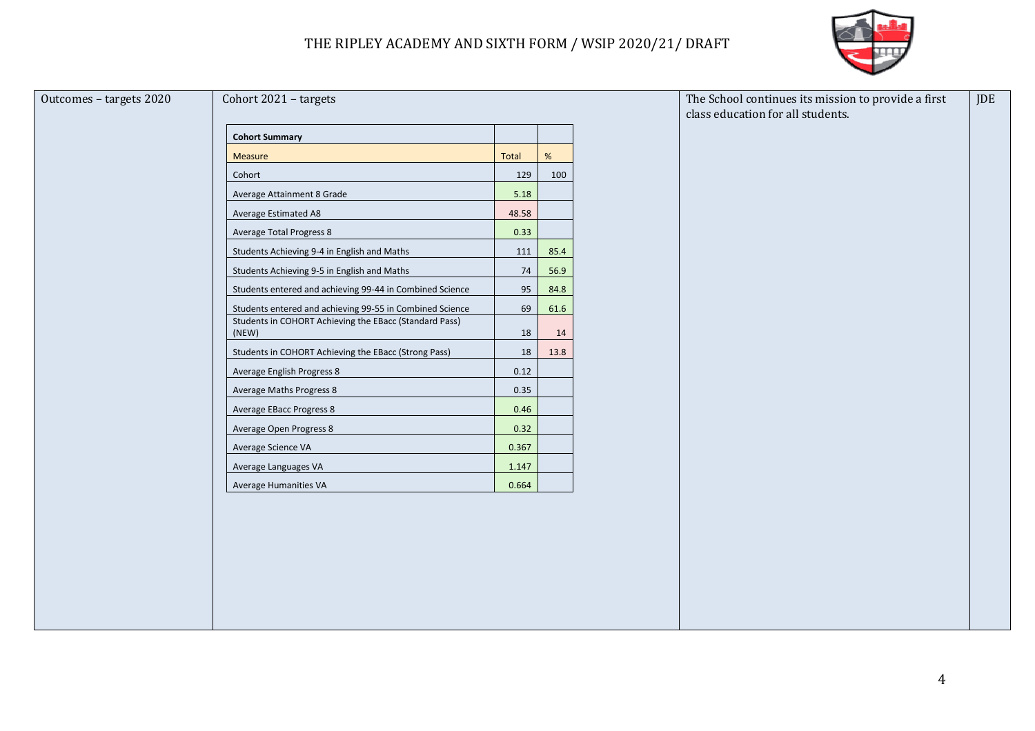

| Outcomes - targets 2020 | Cohort 2021 - targets                                           |       |      | The School continues its mission to provide a first<br>class education for all students. | <b>JDE</b> |
|-------------------------|-----------------------------------------------------------------|-------|------|------------------------------------------------------------------------------------------|------------|
|                         | <b>Cohort Summary</b>                                           |       |      |                                                                                          |            |
|                         | Measure                                                         | Total | %    |                                                                                          |            |
|                         | Cohort                                                          | 129   | 100  |                                                                                          |            |
|                         | Average Attainment 8 Grade                                      | 5.18  |      |                                                                                          |            |
|                         | Average Estimated A8                                            | 48.58 |      |                                                                                          |            |
|                         | <b>Average Total Progress 8</b>                                 | 0.33  |      |                                                                                          |            |
|                         | Students Achieving 9-4 in English and Maths                     | 111   | 85.4 |                                                                                          |            |
|                         | Students Achieving 9-5 in English and Maths                     | 74    | 56.9 |                                                                                          |            |
|                         | Students entered and achieving 99-44 in Combined Science        | 95    | 84.8 |                                                                                          |            |
|                         | Students entered and achieving 99-55 in Combined Science        | 69    | 61.6 |                                                                                          |            |
|                         | Students in COHORT Achieving the EBacc (Standard Pass)<br>(NEW) | 18    | 14   |                                                                                          |            |
|                         | Students in COHORT Achieving the EBacc (Strong Pass)            | 18    | 13.8 |                                                                                          |            |
|                         | Average English Progress 8                                      | 0.12  |      |                                                                                          |            |
|                         | Average Maths Progress 8                                        | 0.35  |      |                                                                                          |            |
|                         | Average EBacc Progress 8                                        | 0.46  |      |                                                                                          |            |
|                         | Average Open Progress 8                                         | 0.32  |      |                                                                                          |            |
|                         | Average Science VA                                              | 0.367 |      |                                                                                          |            |
|                         | Average Languages VA                                            | 1.147 |      |                                                                                          |            |
|                         | Average Humanities VA                                           | 0.664 |      |                                                                                          |            |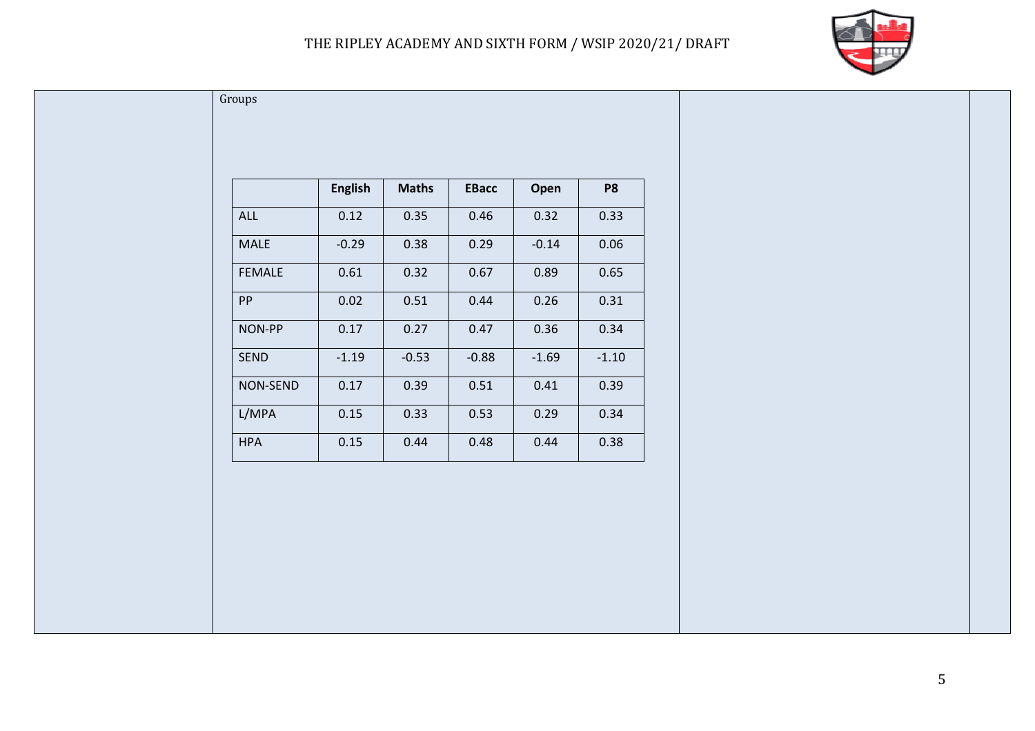

| ALL         | 0.12    | 0.35    | 0.46    | 0.32    | 0.33    |
|-------------|---------|---------|---------|---------|---------|
| <b>MALE</b> | $-0.29$ | 0.38    | 0.29    | $-0.14$ | 0.06    |
| FEMALE      | 0.61    | 0.32    | 0.67    | 0.89    | 0.65    |
| PP          | 0.02    | 0.51    | 0.44    | 0.26    | 0.31    |
| NON-PP      | 0.17    | 0.27    | 0.47    | 0.36    | 0.34    |
| SEND        | $-1.19$ | $-0.53$ | $-0.88$ | $-1.69$ | $-1.10$ |
| NON-SEND    | 0.17    | 0.39    | 0.51    | 0.41    | 0.39    |
| L/MPA       | 0.15    | 0.33    | 0.53    | 0.29    | 0.34    |
| <b>HPA</b>  | 0.15    | 0.44    | 0.48    | 0.44    | 0.38    |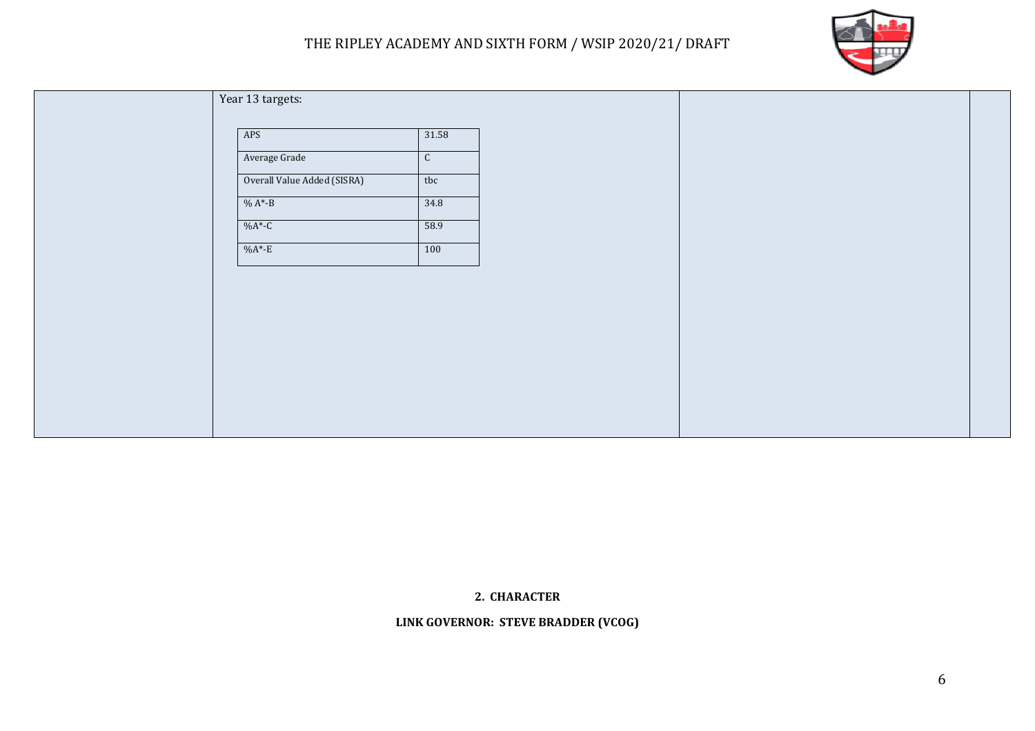

| Year 13 targets:            |              |  |  |
|-----------------------------|--------------|--|--|
| APS                         | 31.58        |  |  |
| Average Grade               | $\mathsf{C}$ |  |  |
| Overall Value Added (SISRA) | tbc          |  |  |
| $% A*-B$                    | 34.8         |  |  |
| $%A*-C$                     | 58.9         |  |  |
| $%A*-E$                     | 100          |  |  |
|                             |              |  |  |
|                             |              |  |  |
|                             |              |  |  |
|                             |              |  |  |
|                             |              |  |  |
|                             |              |  |  |
|                             |              |  |  |
|                             |              |  |  |

### **2. CHARACTER**

**LINK GOVERNOR: STEVE BRADDER (VCOG)**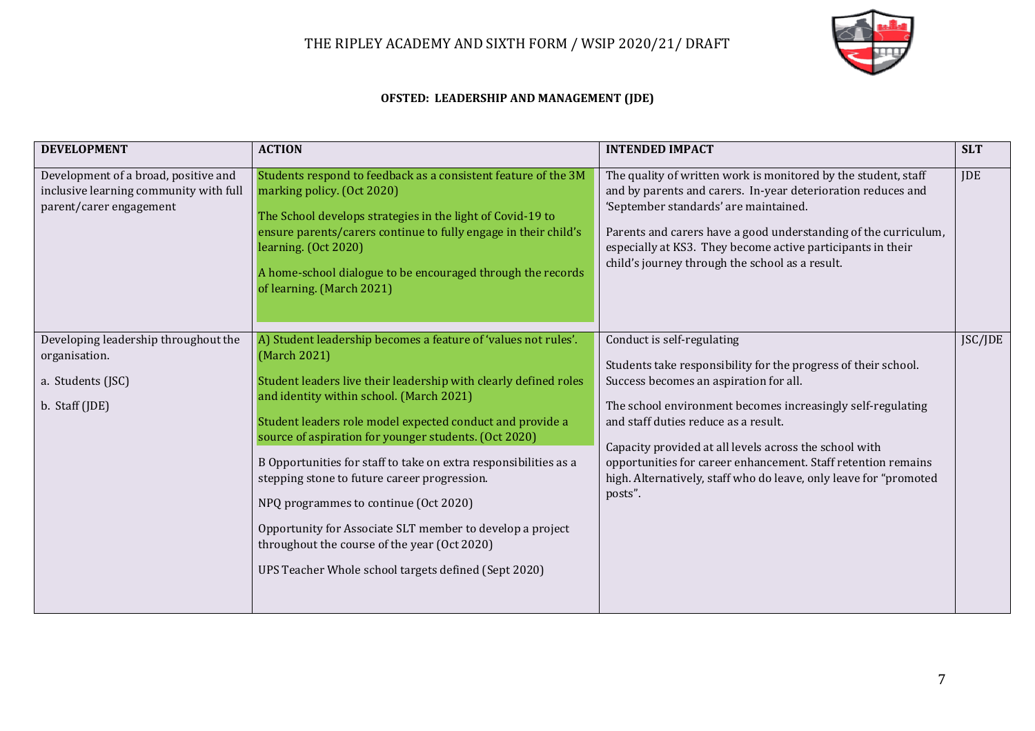

#### **OFSTED: LEADERSHIP AND MANAGEMENT (JDE)**

| <b>DEVELOPMENT</b>                                                                                        | <b>ACTION</b>                                                                                                                                                                                                                                                                                                                                                                                                                                                                                                                                                                                                                                          | <b>INTENDED IMPACT</b>                                                                                                                                                                                                                                                                                                                                                                                                                                   | <b>SLT</b> |
|-----------------------------------------------------------------------------------------------------------|--------------------------------------------------------------------------------------------------------------------------------------------------------------------------------------------------------------------------------------------------------------------------------------------------------------------------------------------------------------------------------------------------------------------------------------------------------------------------------------------------------------------------------------------------------------------------------------------------------------------------------------------------------|----------------------------------------------------------------------------------------------------------------------------------------------------------------------------------------------------------------------------------------------------------------------------------------------------------------------------------------------------------------------------------------------------------------------------------------------------------|------------|
| Development of a broad, positive and<br>inclusive learning community with full<br>parent/carer engagement | Students respond to feedback as a consistent feature of the 3M<br>marking policy. (Oct 2020)<br>The School develops strategies in the light of Covid-19 to<br>ensure parents/carers continue to fully engage in their child's<br>learning. (Oct 2020)<br>A home-school dialogue to be encouraged through the records<br>of learning. (March 2021)                                                                                                                                                                                                                                                                                                      | The quality of written work is monitored by the student, staff<br>and by parents and carers. In-year deterioration reduces and<br>'September standards' are maintained.<br>Parents and carers have a good understanding of the curriculum,<br>especially at KS3. They become active participants in their<br>child's journey through the school as a result.                                                                                             | <b>JDE</b> |
| Developing leadership throughout the<br>organisation.<br>a. Students (JSC)<br>b. Staff (JDE)              | A) Student leadership becomes a feature of 'values not rules'.<br>(March 2021)<br>Student leaders live their leadership with clearly defined roles<br>and identity within school. (March 2021)<br>Student leaders role model expected conduct and provide a<br>source of aspiration for younger students. (Oct 2020)<br>B Opportunities for staff to take on extra responsibilities as a<br>stepping stone to future career progression.<br>NPQ programmes to continue (Oct 2020)<br>Opportunity for Associate SLT member to develop a project<br>throughout the course of the year (Oct 2020)<br>UPS Teacher Whole school targets defined (Sept 2020) | Conduct is self-regulating<br>Students take responsibility for the progress of their school.<br>Success becomes an aspiration for all.<br>The school environment becomes increasingly self-regulating<br>and staff duties reduce as a result.<br>Capacity provided at all levels across the school with<br>opportunities for career enhancement. Staff retention remains<br>high. Alternatively, staff who do leave, only leave for "promoted<br>posts". | JSC/JDE    |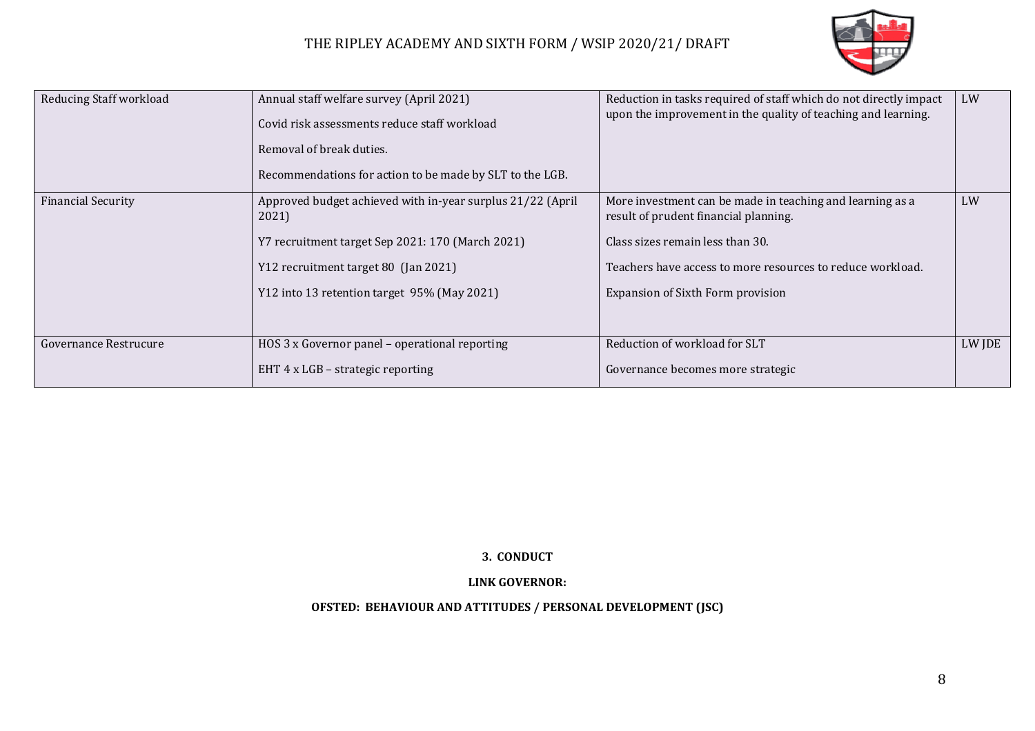

| Reducing Staff workload   | Annual staff welfare survey (April 2021)<br>Covid risk assessments reduce staff workload<br>Removal of break duties.<br>Recommendations for action to be made by SLT to the LGB.                               | Reduction in tasks required of staff which do not directly impact<br>upon the improvement in the quality of teaching and learning.                                                                                                        | LW     |
|---------------------------|----------------------------------------------------------------------------------------------------------------------------------------------------------------------------------------------------------------|-------------------------------------------------------------------------------------------------------------------------------------------------------------------------------------------------------------------------------------------|--------|
| <b>Financial Security</b> | Approved budget achieved with in-year surplus 21/22 (April<br>2021)<br>Y7 recruitment target Sep 2021: 170 (March 2021)<br>Y12 recruitment target 80 (Jan 2021)<br>Y12 into 13 retention target 95% (May 2021) | More investment can be made in teaching and learning as a<br>result of prudent financial planning.<br>Class sizes remain less than 30.<br>Teachers have access to more resources to reduce workload.<br>Expansion of Sixth Form provision | LW     |
| Governance Restrucure     | HOS 3 x Governor panel - operational reporting<br>EHT 4 x LGB - strategic reporting                                                                                                                            | Reduction of workload for SLT<br>Governance becomes more strategic                                                                                                                                                                        | LW JDE |

#### **3. CONDUCT**

#### **LINK GOVERNOR:**

### **OFSTED: BEHAVIOUR AND ATTITUDES / PERSONAL DEVELOPMENT (JSC)**